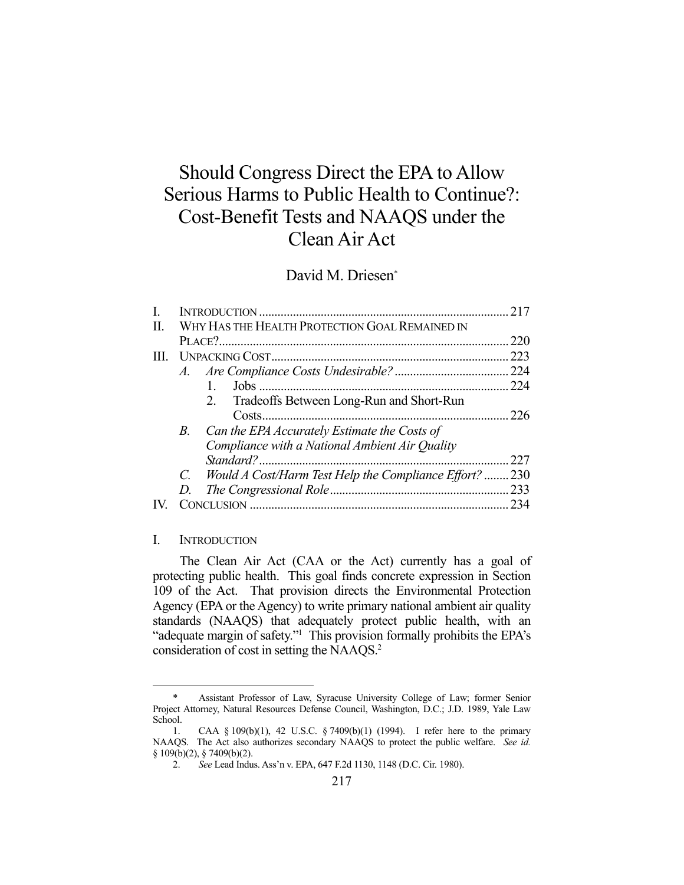# Should Congress Direct the EPA to Allow Serious Harms to Public Health to Continue?: Cost-Benefit Tests and NAAQS under the Clean Air Act

# David M. Driesen\*

|      |                                                |                                                    | 217 |
|------|------------------------------------------------|----------------------------------------------------|-----|
| Π.   | WHY HAS THE HEALTH PROTECTION GOAL REMAINED IN |                                                    |     |
|      |                                                |                                                    | 220 |
| III. |                                                |                                                    | 223 |
|      |                                                |                                                    |     |
|      |                                                |                                                    | 224 |
|      |                                                | Tradeoffs Between Long-Run and Short-Run<br>2.     |     |
|      |                                                |                                                    | 226 |
|      | <i>B</i> .                                     | Can the EPA Accurately Estimate the Costs of       |     |
|      |                                                | Compliance with a National Ambient Air Quality     |     |
|      |                                                |                                                    | 227 |
|      | $C_{\cdot}$                                    | Would A Cost/Harm Test Help the Compliance Effort? | 230 |
|      | D.                                             |                                                    |     |
|      |                                                |                                                    | 234 |
|      |                                                |                                                    |     |

#### I. INTRODUCTION

<u>.</u>

 The Clean Air Act (CAA or the Act) currently has a goal of protecting public health. This goal finds concrete expression in Section 109 of the Act. That provision directs the Environmental Protection Agency (EPA or the Agency) to write primary national ambient air quality standards (NAAQS) that adequately protect public health, with an "adequate margin of safety."<sup>1</sup> This provision formally prohibits the EPA's consideration of cost in setting the NAAQS.2

 <sup>\*</sup> Assistant Professor of Law, Syracuse University College of Law; former Senior Project Attorney, Natural Resources Defense Council, Washington, D.C.; J.D. 1989, Yale Law School.

 <sup>1.</sup> CAA § 109(b)(1), 42 U.S.C. § 7409(b)(1) (1994). I refer here to the primary NAAQS. The Act also authorizes secondary NAAQS to protect the public welfare. *See id.*  § 109(b)(2), § 7409(b)(2).

 <sup>2.</sup> *See* Lead Indus. Ass'n v. EPA, 647 F.2d 1130, 1148 (D.C. Cir. 1980).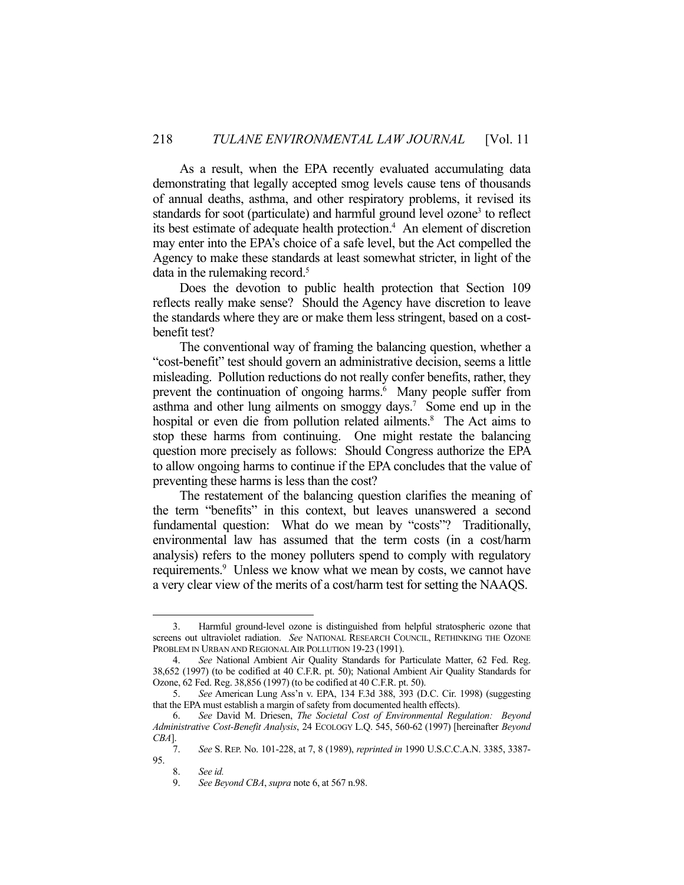As a result, when the EPA recently evaluated accumulating data demonstrating that legally accepted smog levels cause tens of thousands of annual deaths, asthma, and other respiratory problems, it revised its standards for soot (particulate) and harmful ground level ozone<sup>3</sup> to reflect its best estimate of adequate health protection.<sup>4</sup> An element of discretion may enter into the EPA's choice of a safe level, but the Act compelled the Agency to make these standards at least somewhat stricter, in light of the data in the rulemaking record.<sup>5</sup>

 Does the devotion to public health protection that Section 109 reflects really make sense? Should the Agency have discretion to leave the standards where they are or make them less stringent, based on a costbenefit test?

 The conventional way of framing the balancing question, whether a "cost-benefit" test should govern an administrative decision, seems a little misleading. Pollution reductions do not really confer benefits, rather, they prevent the continuation of ongoing harms.<sup>6</sup> Many people suffer from asthma and other lung ailments on smoggy days.<sup>7</sup> Some end up in the hospital or even die from pollution related ailments.<sup>8</sup> The Act aims to stop these harms from continuing. One might restate the balancing question more precisely as follows: Should Congress authorize the EPA to allow ongoing harms to continue if the EPA concludes that the value of preventing these harms is less than the cost?

 The restatement of the balancing question clarifies the meaning of the term "benefits" in this context, but leaves unanswered a second fundamental question: What do we mean by "costs"? Traditionally, environmental law has assumed that the term costs (in a cost/harm analysis) refers to the money polluters spend to comply with regulatory requirements.<sup>9</sup> Unless we know what we mean by costs, we cannot have a very clear view of the merits of a cost/harm test for setting the NAAQS.

 <sup>3.</sup> Harmful ground-level ozone is distinguished from helpful stratospheric ozone that screens out ultraviolet radiation. *See* NATIONAL RESEARCH COUNCIL, RETHINKING THE OZONE PROBLEM IN URBAN AND REGIONAL AIR POLLUTION 19-23 (1991).

 <sup>4.</sup> *See* National Ambient Air Quality Standards for Particulate Matter, 62 Fed. Reg. 38,652 (1997) (to be codified at 40 C.F.R. pt. 50); National Ambient Air Quality Standards for Ozone, 62 Fed. Reg. 38,856 (1997) (to be codified at 40 C.F.R. pt. 50).

 <sup>5.</sup> *See* American Lung Ass'n v. EPA, 134 F.3d 388, 393 (D.C. Cir. 1998) (suggesting that the EPA must establish a margin of safety from documented health effects).

 <sup>6.</sup> *See* David M. Driesen, *The Societal Cost of Environmental Regulation: Beyond Administrative Cost-Benefit Analysis*, 24 ECOLOGY L.Q. 545, 560-62 (1997) [hereinafter *Beyond CBA*].

 <sup>7.</sup> *See* S. REP. No. 101-228, at 7, 8 (1989), *reprinted in* 1990 U.S.C.C.A.N. 3385, 3387- 95.

 <sup>8.</sup> *See id.* 

 <sup>9.</sup> *See Beyond CBA*, *supra* note 6, at 567 n.98.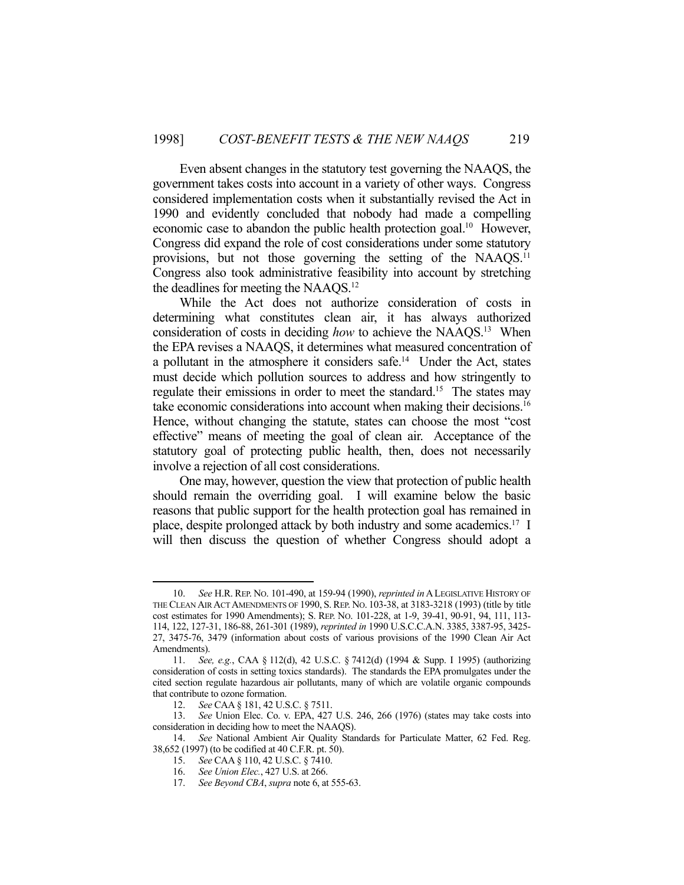Even absent changes in the statutory test governing the NAAQS, the government takes costs into account in a variety of other ways. Congress considered implementation costs when it substantially revised the Act in 1990 and evidently concluded that nobody had made a compelling economic case to abandon the public health protection goal.10 However, Congress did expand the role of cost considerations under some statutory provisions, but not those governing the setting of the NAAQS.<sup>11</sup> Congress also took administrative feasibility into account by stretching the deadlines for meeting the NAAQS.12

 While the Act does not authorize consideration of costs in determining what constitutes clean air, it has always authorized consideration of costs in deciding *how* to achieve the NAAQS.13 When the EPA revises a NAAQS, it determines what measured concentration of a pollutant in the atmosphere it considers safe.14 Under the Act, states must decide which pollution sources to address and how stringently to regulate their emissions in order to meet the standard.<sup>15</sup> The states may take economic considerations into account when making their decisions.16 Hence, without changing the statute, states can choose the most "cost effective" means of meeting the goal of clean air. Acceptance of the statutory goal of protecting public health, then, does not necessarily involve a rejection of all cost considerations.

 One may, however, question the view that protection of public health should remain the overriding goal. I will examine below the basic reasons that public support for the health protection goal has remained in place, despite prolonged attack by both industry and some academics.17 I will then discuss the question of whether Congress should adopt a

 <sup>10.</sup> *See* H.R. REP. NO. 101-490, at 159-94 (1990), *reprinted in*ALEGISLATIVE HISTORY OF THE CLEAN AIR ACT AMENDMENTS OF 1990, S. REP. NO. 103-38, at 3183-3218 (1993) (title by title cost estimates for 1990 Amendments); S. REP. NO. 101-228, at 1-9, 39-41, 90-91, 94, 111, 113- 114, 122, 127-31, 186-88, 261-301 (1989), *reprinted in* 1990 U.S.C.C.A.N. 3385, 3387-95, 3425- 27, 3475-76, 3479 (information about costs of various provisions of the 1990 Clean Air Act Amendments).

 <sup>11.</sup> *See, e.g.*, CAA § 112(d), 42 U.S.C. § 7412(d) (1994 & Supp. I 1995) (authorizing consideration of costs in setting toxics standards). The standards the EPA promulgates under the cited section regulate hazardous air pollutants, many of which are volatile organic compounds that contribute to ozone formation.

 <sup>12.</sup> *See* CAA § 181, 42 U.S.C. § 7511.

 <sup>13.</sup> *See* Union Elec. Co. v. EPA, 427 U.S. 246, 266 (1976) (states may take costs into consideration in deciding how to meet the NAAQS).

 <sup>14.</sup> *See* National Ambient Air Quality Standards for Particulate Matter, 62 Fed. Reg. 38,652 (1997) (to be codified at 40 C.F.R. pt. 50).

 <sup>15.</sup> *See* CAA § 110, 42 U.S.C. § 7410.

 <sup>16.</sup> *See Union Elec.*, 427 U.S. at 266.

 <sup>17.</sup> *See Beyond CBA*, *supra* note 6, at 555-63.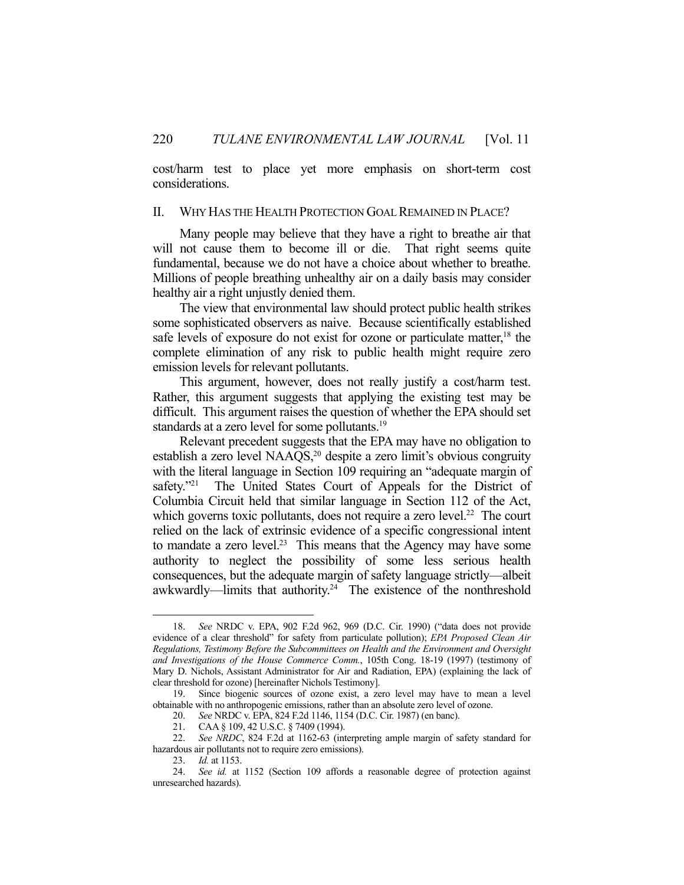cost/harm test to place yet more emphasis on short-term cost considerations.

## II. WHY HAS THE HEALTH PROTECTION GOAL REMAINED IN PLACE?

 Many people may believe that they have a right to breathe air that will not cause them to become ill or die. That right seems quite fundamental, because we do not have a choice about whether to breathe. Millions of people breathing unhealthy air on a daily basis may consider healthy air a right unjustly denied them.

 The view that environmental law should protect public health strikes some sophisticated observers as naive. Because scientifically established safe levels of exposure do not exist for ozone or particulate matter,<sup>18</sup> the complete elimination of any risk to public health might require zero emission levels for relevant pollutants.

 This argument, however, does not really justify a cost/harm test. Rather, this argument suggests that applying the existing test may be difficult. This argument raises the question of whether the EPA should set standards at a zero level for some pollutants.<sup>19</sup>

 Relevant precedent suggests that the EPA may have no obligation to establish a zero level  $NAAQS<sub>1</sub><sup>20</sup>$  despite a zero limit's obvious congruity with the literal language in Section 109 requiring an "adequate margin of safety."<sup>21</sup> The United States Court of Appeals for the District of Columbia Circuit held that similar language in Section 112 of the Act, which governs toxic pollutants, does not require a zero level.<sup>22</sup> The court relied on the lack of extrinsic evidence of a specific congressional intent to mandate a zero level.<sup>23</sup> This means that the Agency may have some authority to neglect the possibility of some less serious health consequences, but the adequate margin of safety language strictly—albeit awkwardly—limits that authority.<sup>24</sup> The existence of the nonthreshold

 <sup>18.</sup> *See* NRDC v. EPA, 902 F.2d 962, 969 (D.C. Cir. 1990) ("data does not provide evidence of a clear threshold" for safety from particulate pollution); *EPA Proposed Clean Air Regulations, Testimony Before the Subcommittees on Health and the Environment and Oversight and Investigations of the House Commerce Comm.*, 105th Cong. 18-19 (1997) (testimony of Mary D. Nichols, Assistant Administrator for Air and Radiation, EPA) (explaining the lack of clear threshold for ozone) [hereinafter Nichols Testimony].

 <sup>19.</sup> Since biogenic sources of ozone exist, a zero level may have to mean a level obtainable with no anthropogenic emissions, rather than an absolute zero level of ozone.

 <sup>20.</sup> *See* NRDC v. EPA, 824 F.2d 1146, 1154 (D.C. Cir. 1987) (en banc).

 <sup>21.</sup> CAA § 109, 42 U.S.C. § 7409 (1994).

 <sup>22.</sup> *See NRDC*, 824 F.2d at 1162-63 (interpreting ample margin of safety standard for hazardous air pollutants not to require zero emissions).

 <sup>23.</sup> *Id.* at 1153.

 <sup>24.</sup> *See id.* at 1152 (Section 109 affords a reasonable degree of protection against unresearched hazards).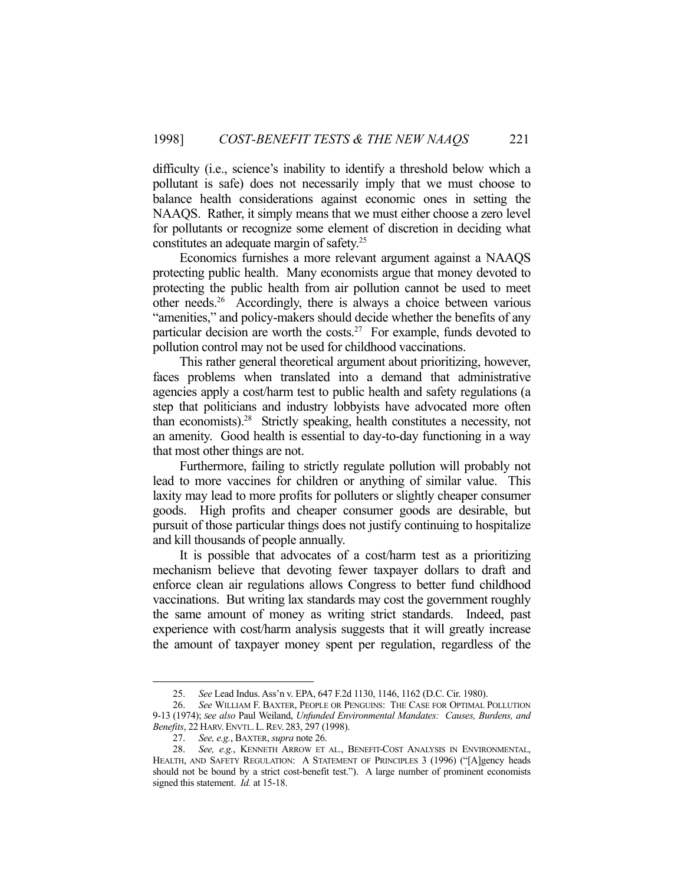difficulty (i.e., science's inability to identify a threshold below which a pollutant is safe) does not necessarily imply that we must choose to balance health considerations against economic ones in setting the NAAQS. Rather, it simply means that we must either choose a zero level for pollutants or recognize some element of discretion in deciding what constitutes an adequate margin of safety.25

 Economics furnishes a more relevant argument against a NAAQS protecting public health. Many economists argue that money devoted to protecting the public health from air pollution cannot be used to meet other needs.26 Accordingly, there is always a choice between various "amenities," and policy-makers should decide whether the benefits of any particular decision are worth the costs.<sup>27</sup> For example, funds devoted to pollution control may not be used for childhood vaccinations.

 This rather general theoretical argument about prioritizing, however, faces problems when translated into a demand that administrative agencies apply a cost/harm test to public health and safety regulations (a step that politicians and industry lobbyists have advocated more often than economists).28 Strictly speaking, health constitutes a necessity, not an amenity. Good health is essential to day-to-day functioning in a way that most other things are not.

 Furthermore, failing to strictly regulate pollution will probably not lead to more vaccines for children or anything of similar value. This laxity may lead to more profits for polluters or slightly cheaper consumer goods. High profits and cheaper consumer goods are desirable, but pursuit of those particular things does not justify continuing to hospitalize and kill thousands of people annually.

 It is possible that advocates of a cost/harm test as a prioritizing mechanism believe that devoting fewer taxpayer dollars to draft and enforce clean air regulations allows Congress to better fund childhood vaccinations. But writing lax standards may cost the government roughly the same amount of money as writing strict standards. Indeed, past experience with cost/harm analysis suggests that it will greatly increase the amount of taxpayer money spent per regulation, regardless of the

 <sup>25.</sup> *See* Lead Indus. Ass'n v. EPA, 647 F.2d 1130, 1146, 1162 (D.C. Cir. 1980).

 <sup>26.</sup> *See* WILLIAM F. BAXTER, PEOPLE OR PENGUINS: THE CASE FOR OPTIMAL POLLUTION 9-13 (1974); *See also* Paul Weiland, *Unfunded Environmental Mandates: Causes, Burdens, and Benefits*, 22 HARV. ENVTL. L. REV. 283, 297 (1998).

 <sup>27.</sup> *See, e.g.*, BAXTER, *supra* note 26.

 <sup>28.</sup> *See, e.g.*, KENNETH ARROW ET AL., BENEFIT-COST ANALYSIS IN ENVIRONMENTAL, HEALTH, AND SAFETY REGULATION: A STATEMENT OF PRINCIPLES 3 (1996) ("[A]gency heads should not be bound by a strict cost-benefit test."). A large number of prominent economists signed this statement. *Id.* at 15-18.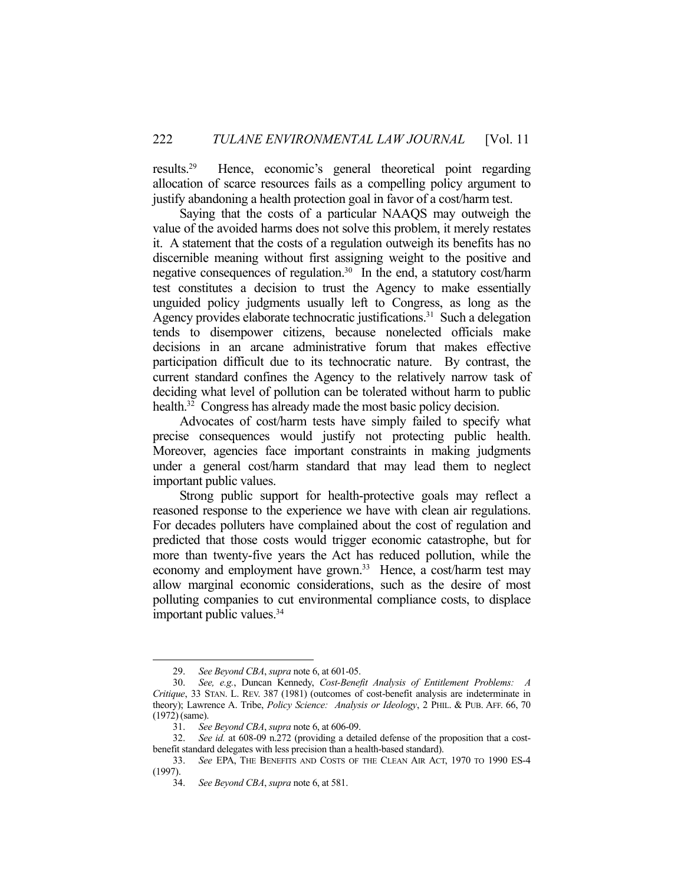results.29 Hence, economic's general theoretical point regarding allocation of scarce resources fails as a compelling policy argument to justify abandoning a health protection goal in favor of a cost/harm test.

 Saying that the costs of a particular NAAQS may outweigh the value of the avoided harms does not solve this problem, it merely restates it. A statement that the costs of a regulation outweigh its benefits has no discernible meaning without first assigning weight to the positive and negative consequences of regulation.30 In the end, a statutory cost/harm test constitutes a decision to trust the Agency to make essentially unguided policy judgments usually left to Congress, as long as the Agency provides elaborate technocratic justifications.<sup>31</sup> Such a delegation tends to disempower citizens, because nonelected officials make decisions in an arcane administrative forum that makes effective participation difficult due to its technocratic nature. By contrast, the current standard confines the Agency to the relatively narrow task of deciding what level of pollution can be tolerated without harm to public health.<sup>32</sup> Congress has already made the most basic policy decision.

 Advocates of cost/harm tests have simply failed to specify what precise consequences would justify not protecting public health. Moreover, agencies face important constraints in making judgments under a general cost/harm standard that may lead them to neglect important public values.

 Strong public support for health-protective goals may reflect a reasoned response to the experience we have with clean air regulations. For decades polluters have complained about the cost of regulation and predicted that those costs would trigger economic catastrophe, but for more than twenty-five years the Act has reduced pollution, while the economy and employment have grown.<sup>33</sup> Hence, a cost/harm test may allow marginal economic considerations, such as the desire of most polluting companies to cut environmental compliance costs, to displace important public values.34

 <sup>29.</sup> *See Beyond CBA*, *supra* note 6, at 601-05.

 <sup>30.</sup> *See, e.g.*, Duncan Kennedy, *Cost-Benefit Analysis of Entitlement Problems: A Critique*, 33 STAN. L. REV. 387 (1981) (outcomes of cost-benefit analysis are indeterminate in theory); Lawrence A. Tribe, *Policy Science: Analysis or Ideology*, 2 PHIL. & PUB. AFF. 66, 70 (1972)(same).

 <sup>31.</sup> *See Beyond CBA*, *supra* note 6, at 606-09.

 <sup>32.</sup> *See id.* at 608-09 n.272 (providing a detailed defense of the proposition that a costbenefit standard delegates with less precision than a health-based standard).

 <sup>33.</sup> *See* EPA, THE BENEFITS AND COSTS OF THE CLEAN AIR ACT, 1970 TO 1990 ES-4 (1997).

 <sup>34.</sup> *See Beyond CBA*, *supra* note 6, at 581.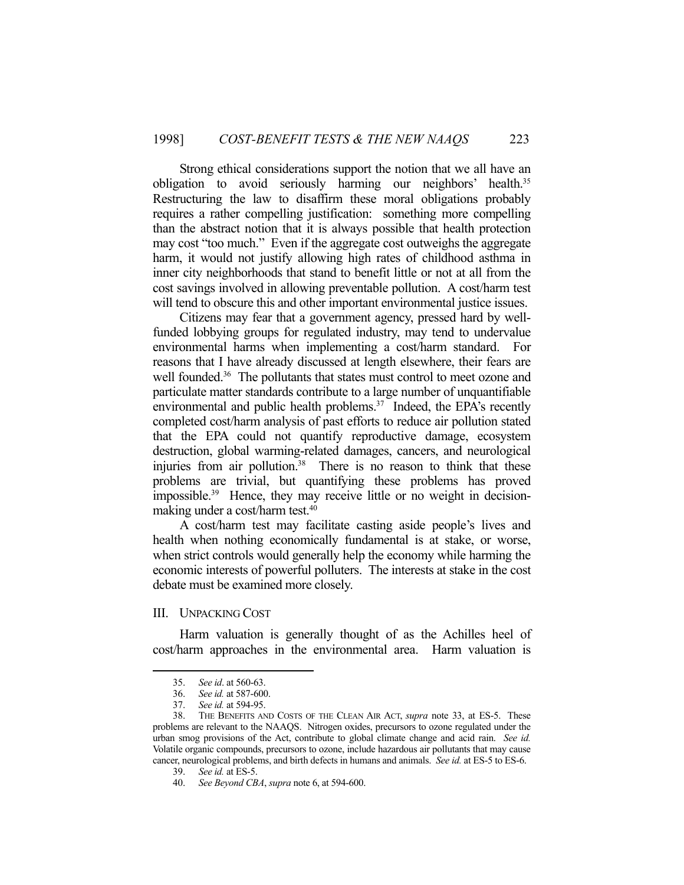Strong ethical considerations support the notion that we all have an obligation to avoid seriously harming our neighbors' health.<sup>35</sup> Restructuring the law to disaffirm these moral obligations probably requires a rather compelling justification: something more compelling than the abstract notion that it is always possible that health protection may cost "too much." Even if the aggregate cost outweighs the aggregate harm, it would not justify allowing high rates of childhood asthma in inner city neighborhoods that stand to benefit little or not at all from the cost savings involved in allowing preventable pollution. A cost/harm test will tend to obscure this and other important environmental justice issues.

 Citizens may fear that a government agency, pressed hard by wellfunded lobbying groups for regulated industry, may tend to undervalue environmental harms when implementing a cost/harm standard. For reasons that I have already discussed at length elsewhere, their fears are well founded.<sup>36</sup> The pollutants that states must control to meet ozone and particulate matter standards contribute to a large number of unquantifiable environmental and public health problems.<sup>37</sup> Indeed, the EPA's recently completed cost/harm analysis of past efforts to reduce air pollution stated that the EPA could not quantify reproductive damage, ecosystem destruction, global warming-related damages, cancers, and neurological injuries from air pollution.38 There is no reason to think that these problems are trivial, but quantifying these problems has proved impossible.39 Hence, they may receive little or no weight in decisionmaking under a cost/harm test.40

 A cost/harm test may facilitate casting aside people's lives and health when nothing economically fundamental is at stake, or worse, when strict controls would generally help the economy while harming the economic interests of powerful polluters. The interests at stake in the cost debate must be examined more closely.

## III. UNPACKING COST

 Harm valuation is generally thought of as the Achilles heel of cost/harm approaches in the environmental area. Harm valuation is

 <sup>35.</sup> *See id*. at 560-63.

 <sup>36.</sup> *See id.* at 587-600.

 <sup>37.</sup> *See id.* at 594-95.

 <sup>38.</sup> THE BENEFITS AND COSTS OF THE CLEAN AIR ACT, *supra* note 33, at ES-5. These problems are relevant to the NAAQS. Nitrogen oxides, precursors to ozone regulated under the urban smog provisions of the Act, contribute to global climate change and acid rain. *See id.* Volatile organic compounds, precursors to ozone, include hazardous air pollutants that may cause cancer, neurological problems, and birth defects in humans and animals. *See id.* at ES-5 to ES-6.

 <sup>39.</sup> *See id.* at ES-5.

 <sup>40.</sup> *See Beyond CBA*, *supra* note 6, at 594-600.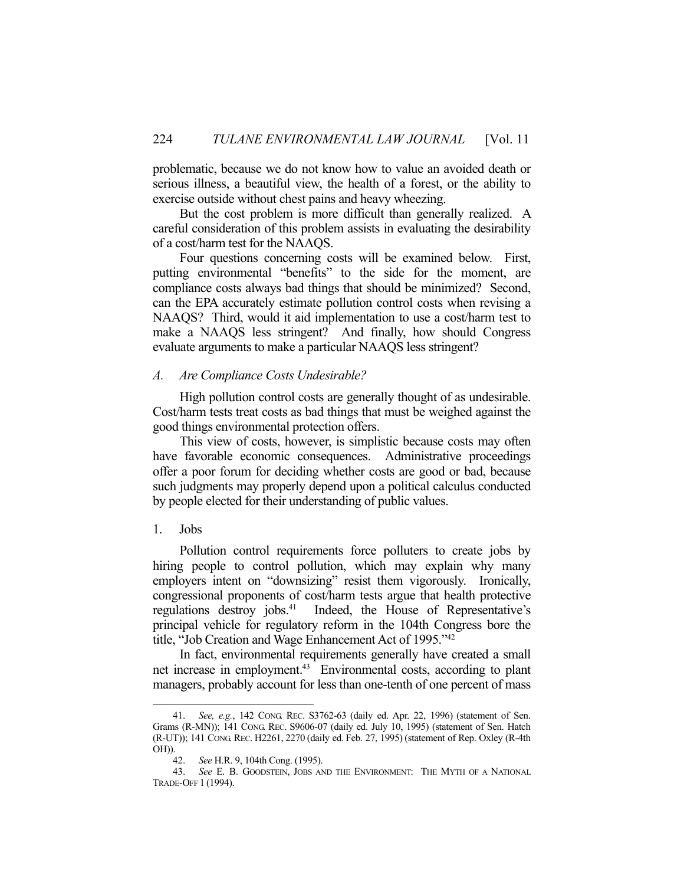problematic, because we do not know how to value an avoided death or serious illness, a beautiful view, the health of a forest, or the ability to exercise outside without chest pains and heavy wheezing.

 But the cost problem is more difficult than generally realized. A careful consideration of this problem assists in evaluating the desirability of a cost/harm test for the NAAQS.

 Four questions concerning costs will be examined below. First, putting environmental "benefits" to the side for the moment, are compliance costs always bad things that should be minimized? Second, can the EPA accurately estimate pollution control costs when revising a NAAQS? Third, would it aid implementation to use a cost/harm test to make a NAAQS less stringent? And finally, how should Congress evaluate arguments to make a particular NAAQS less stringent?

## *A. Are Compliance Costs Undesirable?*

 High pollution control costs are generally thought of as undesirable. Cost/harm tests treat costs as bad things that must be weighed against the good things environmental protection offers.

 This view of costs, however, is simplistic because costs may often have favorable economic consequences. Administrative proceedings offer a poor forum for deciding whether costs are good or bad, because such judgments may properly depend upon a political calculus conducted by people elected for their understanding of public values.

## 1. Jobs

1

 Pollution control requirements force polluters to create jobs by hiring people to control pollution, which may explain why many employers intent on "downsizing" resist them vigorously. Ironically, congressional proponents of cost/harm tests argue that health protective regulations destroy jobs.<sup>41</sup> Indeed, the House of Representative's principal vehicle for regulatory reform in the 104th Congress bore the title, "Job Creation and Wage Enhancement Act of 1995."42

 In fact, environmental requirements generally have created a small net increase in employment.<sup>43</sup> Environmental costs, according to plant managers, probably account for less than one-tenth of one percent of mass

 <sup>41.</sup> *See, e.g.*, 142 CONG. REC. S3762-63 (daily ed. Apr. 22, 1996) (statement of Sen. Grams (R-MN)); 141 CONG. REC. S9606-07 (daily ed. July 10, 1995) (statement of Sen. Hatch (R-UT)); 141 CONG. REC. H2261, 2270 (daily ed. Feb. 27, 1995) (statement of Rep. Oxley (R-4th OH)).

 <sup>42.</sup> *See* H.R. 9, 104th Cong. (1995).

 <sup>43.</sup> *See* E. B. GOODSTEIN, JOBS AND THE ENVIRONMENT: THE MYTH OF A NATIONAL TRADE-OFF 1 (1994).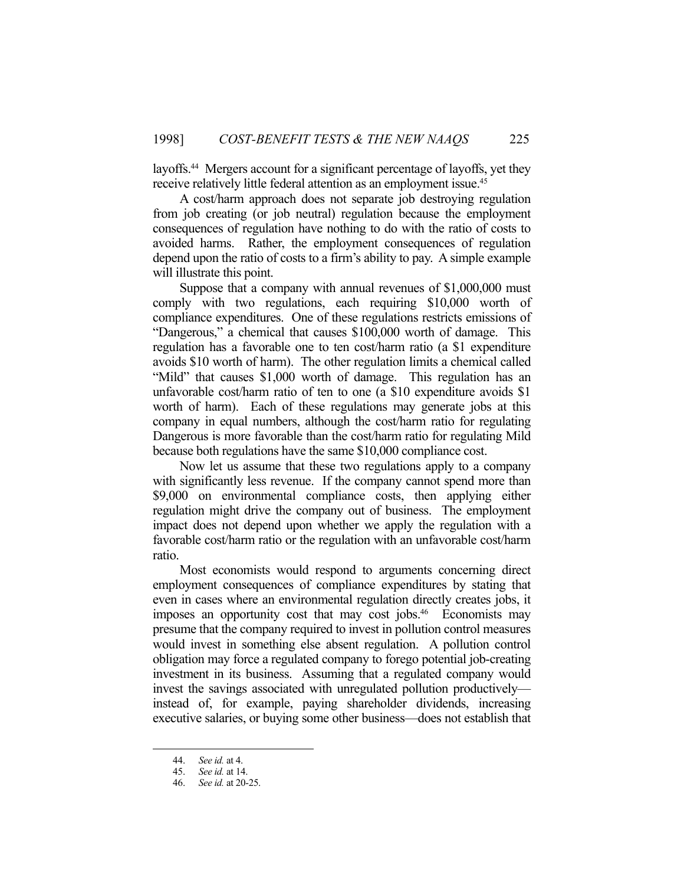layoffs.44 Mergers account for a significant percentage of layoffs, yet they receive relatively little federal attention as an employment issue.<sup>45</sup>

 A cost/harm approach does not separate job destroying regulation from job creating (or job neutral) regulation because the employment consequences of regulation have nothing to do with the ratio of costs to avoided harms. Rather, the employment consequences of regulation depend upon the ratio of costs to a firm's ability to pay. A simple example will illustrate this point.

 Suppose that a company with annual revenues of \$1,000,000 must comply with two regulations, each requiring \$10,000 worth of compliance expenditures. One of these regulations restricts emissions of "Dangerous," a chemical that causes \$100,000 worth of damage. This regulation has a favorable one to ten cost/harm ratio (a \$1 expenditure avoids \$10 worth of harm). The other regulation limits a chemical called "Mild" that causes \$1,000 worth of damage. This regulation has an unfavorable cost/harm ratio of ten to one (a \$10 expenditure avoids \$1 worth of harm). Each of these regulations may generate jobs at this company in equal numbers, although the cost/harm ratio for regulating Dangerous is more favorable than the cost/harm ratio for regulating Mild because both regulations have the same \$10,000 compliance cost.

 Now let us assume that these two regulations apply to a company with significantly less revenue. If the company cannot spend more than \$9,000 on environmental compliance costs, then applying either regulation might drive the company out of business. The employment impact does not depend upon whether we apply the regulation with a favorable cost/harm ratio or the regulation with an unfavorable cost/harm ratio.

 Most economists would respond to arguments concerning direct employment consequences of compliance expenditures by stating that even in cases where an environmental regulation directly creates jobs, it imposes an opportunity cost that may cost jobs.<sup>46</sup> Economists may presume that the company required to invest in pollution control measures would invest in something else absent regulation. A pollution control obligation may force a regulated company to forego potential job-creating investment in its business. Assuming that a regulated company would invest the savings associated with unregulated pollution productively instead of, for example, paying shareholder dividends, increasing executive salaries, or buying some other business—does not establish that

 <sup>44.</sup> *See id.* at 4.

 <sup>45.</sup> *See id.* at 14.

 <sup>46.</sup> *See id.* at 20-25.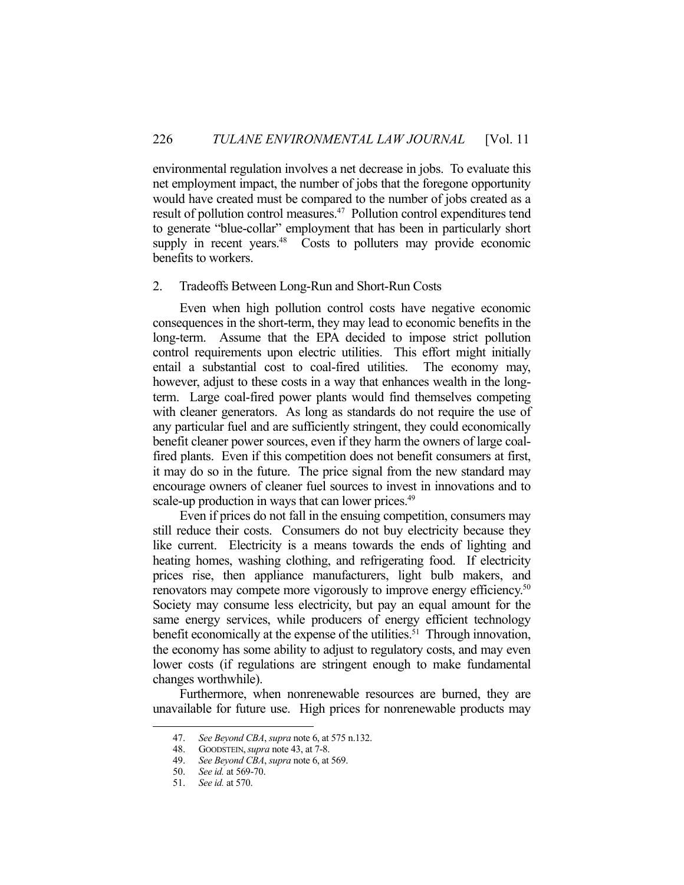environmental regulation involves a net decrease in jobs. To evaluate this net employment impact, the number of jobs that the foregone opportunity would have created must be compared to the number of jobs created as a result of pollution control measures.47 Pollution control expenditures tend to generate "blue-collar" employment that has been in particularly short supply in recent years.<sup>48</sup> Costs to polluters may provide economic benefits to workers.

## 2. Tradeoffs Between Long-Run and Short-Run Costs

 Even when high pollution control costs have negative economic consequences in the short-term, they may lead to economic benefits in the long-term. Assume that the EPA decided to impose strict pollution control requirements upon electric utilities. This effort might initially entail a substantial cost to coal-fired utilities. The economy may, however, adjust to these costs in a way that enhances wealth in the longterm. Large coal-fired power plants would find themselves competing with cleaner generators. As long as standards do not require the use of any particular fuel and are sufficiently stringent, they could economically benefit cleaner power sources, even if they harm the owners of large coalfired plants. Even if this competition does not benefit consumers at first, it may do so in the future. The price signal from the new standard may encourage owners of cleaner fuel sources to invest in innovations and to scale-up production in ways that can lower prices.<sup>49</sup>

 Even if prices do not fall in the ensuing competition, consumers may still reduce their costs. Consumers do not buy electricity because they like current. Electricity is a means towards the ends of lighting and heating homes, washing clothing, and refrigerating food. If electricity prices rise, then appliance manufacturers, light bulb makers, and renovators may compete more vigorously to improve energy efficiency.<sup>50</sup> Society may consume less electricity, but pay an equal amount for the same energy services, while producers of energy efficient technology benefit economically at the expense of the utilities.<sup>51</sup> Through innovation, the economy has some ability to adjust to regulatory costs, and may even lower costs (if regulations are stringent enough to make fundamental changes worthwhile).

 Furthermore, when nonrenewable resources are burned, they are unavailable for future use. High prices for nonrenewable products may

 <sup>47.</sup> *See Beyond CBA*, *supra* note 6, at 575 n.132.

 <sup>48.</sup> GOODSTEIN,*supra* note 43, at 7-8.

 <sup>49.</sup> *See Beyond CBA*, *supra* note 6, at 569.

 <sup>50.</sup> *See id.* at 569-70.

 <sup>51.</sup> *See id.* at 570.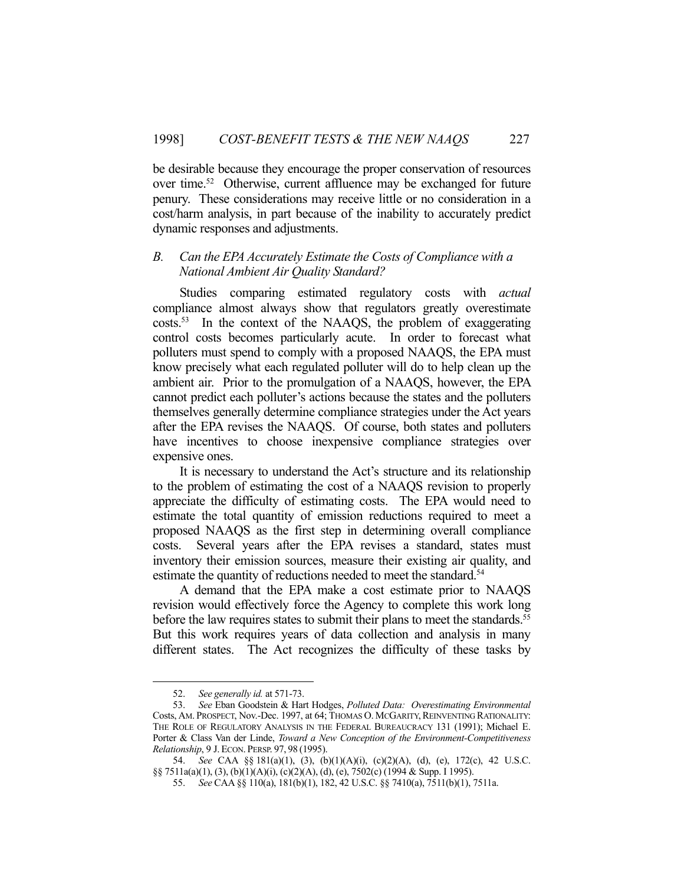be desirable because they encourage the proper conservation of resources over time.52 Otherwise, current affluence may be exchanged for future penury. These considerations may receive little or no consideration in a cost/harm analysis, in part because of the inability to accurately predict dynamic responses and adjustments.

## *B. Can the EPA Accurately Estimate the Costs of Compliance with a National Ambient Air Quality Standard?*

Studies comparing estimated regulatory costs with *actual* compliance almost always show that regulators greatly overestimate costs.53 In the context of the NAAQS, the problem of exaggerating control costs becomes particularly acute. In order to forecast what polluters must spend to comply with a proposed NAAQS, the EPA must know precisely what each regulated polluter will do to help clean up the ambient air. Prior to the promulgation of a NAAQS, however, the EPA cannot predict each polluter's actions because the states and the polluters themselves generally determine compliance strategies under the Act years after the EPA revises the NAAQS. Of course, both states and polluters have incentives to choose inexpensive compliance strategies over expensive ones.

 It is necessary to understand the Act's structure and its relationship to the problem of estimating the cost of a NAAQS revision to properly appreciate the difficulty of estimating costs. The EPA would need to estimate the total quantity of emission reductions required to meet a proposed NAAQS as the first step in determining overall compliance costs. Several years after the EPA revises a standard, states must inventory their emission sources, measure their existing air quality, and estimate the quantity of reductions needed to meet the standard.<sup>54</sup>

 A demand that the EPA make a cost estimate prior to NAAQS revision would effectively force the Agency to complete this work long before the law requires states to submit their plans to meet the standards.<sup>55</sup> But this work requires years of data collection and analysis in many different states. The Act recognizes the difficulty of these tasks by

 <sup>52.</sup> *See generally id.* at 571-73.

 <sup>53.</sup> *See* Eban Goodstein & Hart Hodges, *Polluted Data: Overestimating Environmental*  Costs, AM. PROSPECT, Nov.-Dec. 1997, at 64; THOMAS O. MCGARITY, REINVENTING RATIONALITY: THE ROLE OF REGULATORY ANALYSIS IN THE FEDERAL BUREAUCRACY 131 (1991); Michael E. Porter & Class Van der Linde, *Toward a New Conception of the Environment-Competitiveness Relationship*, 9 J. ECON. PERSP. 97, 98 (1995).

 <sup>54.</sup> *See* CAA §§ 181(a)(1), (3), (b)(1)(A)(i), (c)(2)(A), (d), (e), 172(c), 42 U.S.C. §§ 7511a(a)(1), (3), (b)(1)(A)(i), (c)(2)(A), (d), (e), 7502(c) (1994 & Supp. I 1995).

 <sup>55.</sup> *See* CAA §§ 110(a), 181(b)(1), 182, 42 U.S.C. §§ 7410(a), 7511(b)(1), 7511a.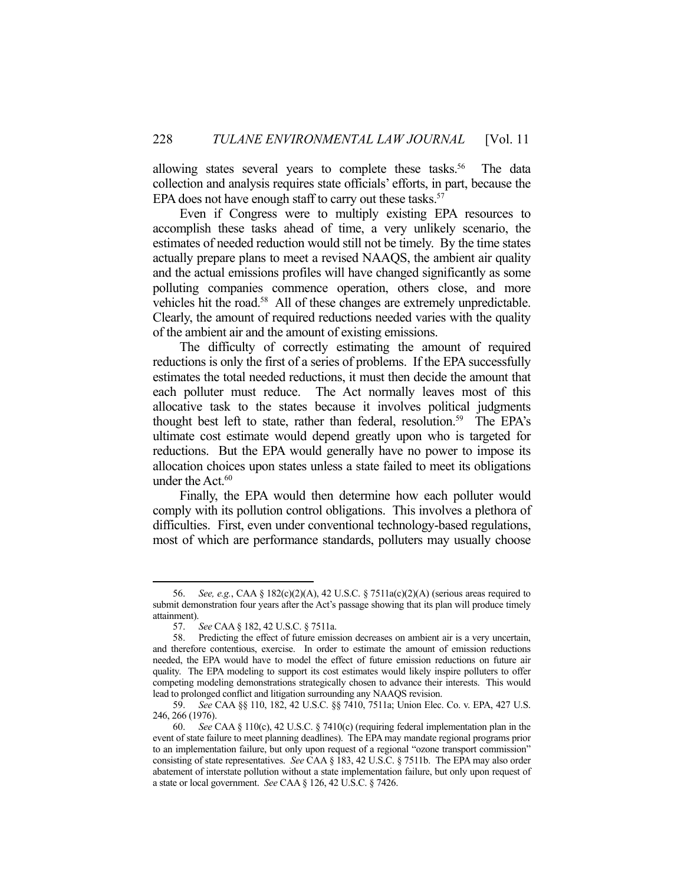allowing states several years to complete these tasks.<sup>56</sup> The data collection and analysis requires state officials' efforts, in part, because the EPA does not have enough staff to carry out these tasks.<sup>57</sup>

 Even if Congress were to multiply existing EPA resources to accomplish these tasks ahead of time, a very unlikely scenario, the estimates of needed reduction would still not be timely. By the time states actually prepare plans to meet a revised NAAQS, the ambient air quality and the actual emissions profiles will have changed significantly as some polluting companies commence operation, others close, and more vehicles hit the road.58 All of these changes are extremely unpredictable. Clearly, the amount of required reductions needed varies with the quality of the ambient air and the amount of existing emissions.

 The difficulty of correctly estimating the amount of required reductions is only the first of a series of problems. If the EPA successfully estimates the total needed reductions, it must then decide the amount that each polluter must reduce. The Act normally leaves most of this allocative task to the states because it involves political judgments thought best left to state, rather than federal, resolution.<sup>59</sup> The EPA's ultimate cost estimate would depend greatly upon who is targeted for reductions. But the EPA would generally have no power to impose its allocation choices upon states unless a state failed to meet its obligations under the Act.<sup>60</sup>

 Finally, the EPA would then determine how each polluter would comply with its pollution control obligations. This involves a plethora of difficulties. First, even under conventional technology-based regulations, most of which are performance standards, polluters may usually choose

 <sup>56.</sup> *See, e.g.*, CAA § 182(c)(2)(A), 42 U.S.C. § 7511a(c)(2)(A) (serious areas required to submit demonstration four years after the Act's passage showing that its plan will produce timely attainment).

 <sup>57.</sup> *See* CAA § 182, 42 U.S.C. § 7511a.

Predicting the effect of future emission decreases on ambient air is a very uncertain, and therefore contentious, exercise. In order to estimate the amount of emission reductions needed, the EPA would have to model the effect of future emission reductions on future air quality. The EPA modeling to support its cost estimates would likely inspire polluters to offer competing modeling demonstrations strategically chosen to advance their interests. This would lead to prolonged conflict and litigation surrounding any NAAQS revision.

 <sup>59.</sup> *See* CAA §§ 110, 182, 42 U.S.C. §§ 7410, 7511a; Union Elec. Co. v. EPA, 427 U.S. 246, 266 (1976).

 <sup>60.</sup> *See* CAA § 110(c), 42 U.S.C. § 7410(c) (requiring federal implementation plan in the event of state failure to meet planning deadlines). The EPA may mandate regional programs prior to an implementation failure, but only upon request of a regional "ozone transport commission" consisting of state representatives. *See* CAA § 183, 42 U.S.C. § 7511b. The EPA may also order abatement of interstate pollution without a state implementation failure, but only upon request of a state or local government. *See* CAA § 126, 42 U.S.C. § 7426.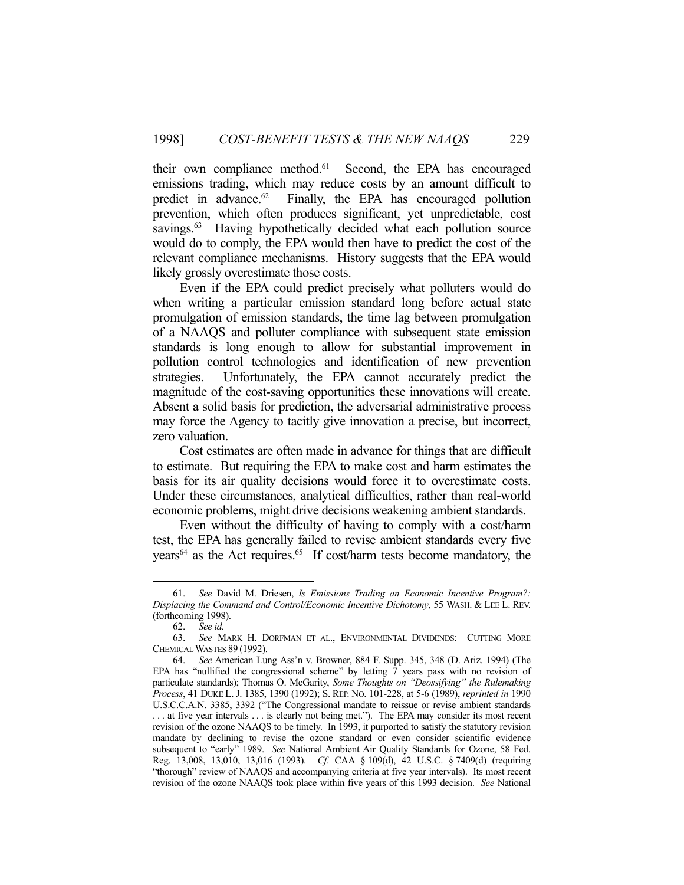their own compliance method.<sup>61</sup> Second, the EPA has encouraged emissions trading, which may reduce costs by an amount difficult to predict in advance. $62$  Finally, the EPA has encouraged pollution prevention, which often produces significant, yet unpredictable, cost savings.<sup>63</sup> Having hypothetically decided what each pollution source would do to comply, the EPA would then have to predict the cost of the relevant compliance mechanisms. History suggests that the EPA would likely grossly overestimate those costs.

 Even if the EPA could predict precisely what polluters would do when writing a particular emission standard long before actual state promulgation of emission standards, the time lag between promulgation of a NAAQS and polluter compliance with subsequent state emission standards is long enough to allow for substantial improvement in pollution control technologies and identification of new prevention strategies. Unfortunately, the EPA cannot accurately predict the magnitude of the cost-saving opportunities these innovations will create. Absent a solid basis for prediction, the adversarial administrative process may force the Agency to tacitly give innovation a precise, but incorrect, zero valuation.

 Cost estimates are often made in advance for things that are difficult to estimate. But requiring the EPA to make cost and harm estimates the basis for its air quality decisions would force it to overestimate costs. Under these circumstances, analytical difficulties, rather than real-world economic problems, might drive decisions weakening ambient standards.

 Even without the difficulty of having to comply with a cost/harm test, the EPA has generally failed to revise ambient standards every five years<sup>64</sup> as the Act requires.<sup>65</sup> If cost/harm tests become mandatory, the

 <sup>61.</sup> *See* David M. Driesen, *Is Emissions Trading an Economic Incentive Program?: Displacing the Command and Control/Economic Incentive Dichotomy*, 55 WASH. & LEE L. REV. (forthcoming 1998).

 <sup>62.</sup> *See id.*

See MARK H. DORFMAN ET AL., ENVIRONMENTAL DIVIDENDS: CUTTING MORE CHEMICAL WASTES 89 (1992).

 <sup>64.</sup> *See* American Lung Ass'n v. Browner, 884 F. Supp. 345, 348 (D. Ariz. 1994) (The EPA has "nullified the congressional scheme" by letting 7 years pass with no revision of particulate standards); Thomas O. McGarity, *Some Thoughts on "Deossifying" the Rulemaking Process*, 41 DUKE L. J. 1385, 1390 (1992); S. REP. NO. 101-228, at 5-6 (1989), *reprinted in* 1990 U.S.C.C.A.N. 3385, 3392 ("The Congressional mandate to reissue or revise ambient standards . . . at five year intervals . . . is clearly not being met."). The EPA may consider its most recent revision of the ozone NAAQS to be timely. In 1993, it purported to satisfy the statutory revision mandate by declining to revise the ozone standard or even consider scientific evidence subsequent to "early" 1989. *See* National Ambient Air Quality Standards for Ozone, 58 Fed. Reg. 13,008, 13,010, 13,016 (1993). *Cf.* CAA § 109(d), 42 U.S.C. § 7409(d) (requiring "thorough" review of NAAQS and accompanying criteria at five year intervals). Its most recent revision of the ozone NAAQS took place within five years of this 1993 decision. *See* National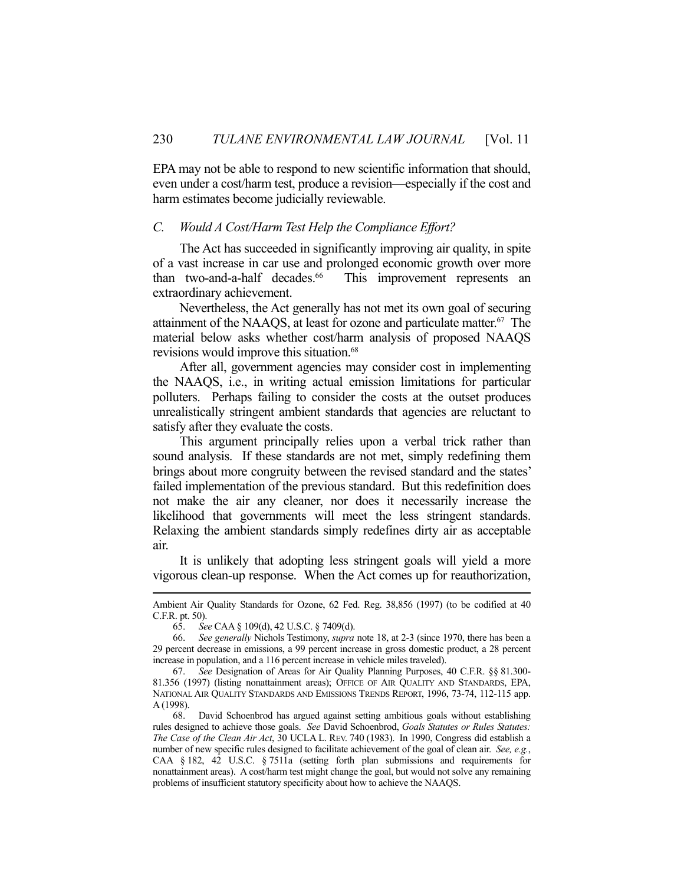EPA may not be able to respond to new scientific information that should, even under a cost/harm test, produce a revision—especially if the cost and harm estimates become judicially reviewable.

## *C. Would A Cost/Harm Test Help the Compliance Effort?*

 The Act has succeeded in significantly improving air quality, in spite of a vast increase in car use and prolonged economic growth over more than two-and-a-half decades.<sup>66</sup> This improvement represents an extraordinary achievement.

 Nevertheless, the Act generally has not met its own goal of securing attainment of the NAAQS, at least for ozone and particulate matter.67 The material below asks whether cost/harm analysis of proposed NAAQS revisions would improve this situation.<sup>68</sup>

 After all, government agencies may consider cost in implementing the NAAQS, i.e., in writing actual emission limitations for particular polluters. Perhaps failing to consider the costs at the outset produces unrealistically stringent ambient standards that agencies are reluctant to satisfy after they evaluate the costs.

 This argument principally relies upon a verbal trick rather than sound analysis. If these standards are not met, simply redefining them brings about more congruity between the revised standard and the states' failed implementation of the previous standard. But this redefinition does not make the air any cleaner, nor does it necessarily increase the likelihood that governments will meet the less stringent standards. Relaxing the ambient standards simply redefines dirty air as acceptable air.

 It is unlikely that adopting less stringent goals will yield a more vigorous clean-up response. When the Act comes up for reauthorization,

Ambient Air Quality Standards for Ozone, 62 Fed. Reg. 38,856 (1997) (to be codified at 40 C.F.R. pt. 50).

 <sup>65.</sup> *See* CAA § 109(d), 42 U.S.C. § 7409(d).

 <sup>66.</sup> *See generally* Nichols Testimony, *supra* note 18, at 2-3 (since 1970, there has been a 29 percent decrease in emissions, a 99 percent increase in gross domestic product, a 28 percent increase in population, and a 116 percent increase in vehicle miles traveled).

 <sup>67.</sup> *See* Designation of Areas for Air Quality Planning Purposes, 40 C.F.R. §§ 81.300- 81.356 (1997) (listing nonattainment areas); OFFICE OF AIR QUALITY AND STANDARDS, EPA, NATIONAL AIR QUALITY STANDARDS AND EMISSIONS TRENDS REPORT, 1996, 73-74, 112-115 app. A (1998).

 <sup>68.</sup> David Schoenbrod has argued against setting ambitious goals without establishing rules designed to achieve those goals. *See* David Schoenbrod, *Goals Statutes or Rules Statutes: The Case of the Clean Air Act*, 30 UCLA L. REV. 740 (1983). In 1990, Congress did establish a number of new specific rules designed to facilitate achievement of the goal of clean air. *See, e.g.*, CAA § 182, 42 U.S.C. § 7511a (setting forth plan submissions and requirements for nonattainment areas). A cost/harm test might change the goal, but would not solve any remaining problems of insufficient statutory specificity about how to achieve the NAAQS.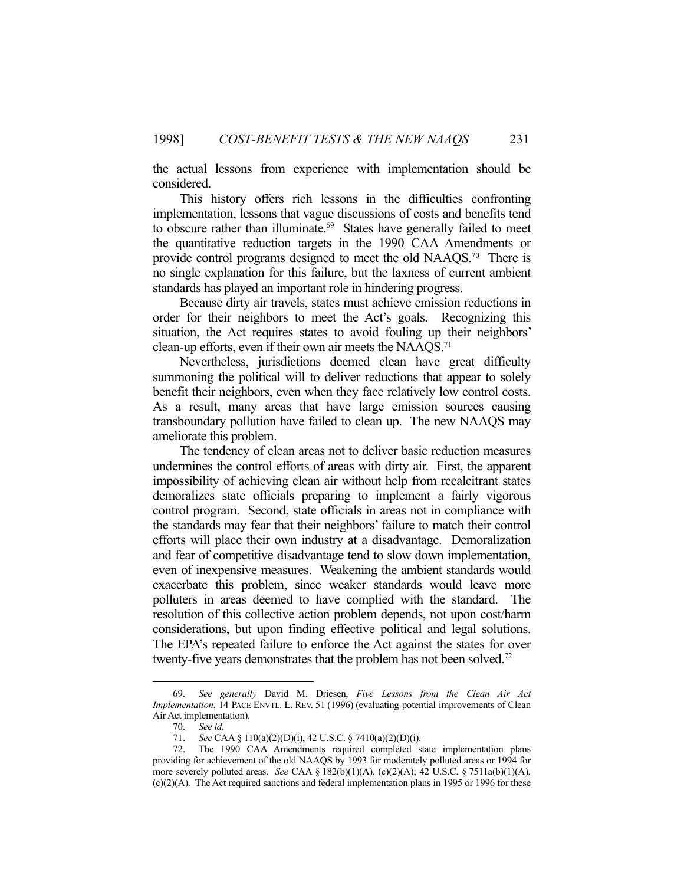the actual lessons from experience with implementation should be considered.

 This history offers rich lessons in the difficulties confronting implementation, lessons that vague discussions of costs and benefits tend to obscure rather than illuminate.<sup>69</sup> States have generally failed to meet the quantitative reduction targets in the 1990 CAA Amendments or provide control programs designed to meet the old NAAQS.<sup>70</sup> There is no single explanation for this failure, but the laxness of current ambient standards has played an important role in hindering progress.

 Because dirty air travels, states must achieve emission reductions in order for their neighbors to meet the Act's goals. Recognizing this situation, the Act requires states to avoid fouling up their neighbors' clean-up efforts, even if their own air meets the NAAOS.<sup>71</sup>

 Nevertheless, jurisdictions deemed clean have great difficulty summoning the political will to deliver reductions that appear to solely benefit their neighbors, even when they face relatively low control costs. As a result, many areas that have large emission sources causing transboundary pollution have failed to clean up. The new NAAQS may ameliorate this problem.

 The tendency of clean areas not to deliver basic reduction measures undermines the control efforts of areas with dirty air. First, the apparent impossibility of achieving clean air without help from recalcitrant states demoralizes state officials preparing to implement a fairly vigorous control program. Second, state officials in areas not in compliance with the standards may fear that their neighbors' failure to match their control efforts will place their own industry at a disadvantage. Demoralization and fear of competitive disadvantage tend to slow down implementation, even of inexpensive measures. Weakening the ambient standards would exacerbate this problem, since weaker standards would leave more polluters in areas deemed to have complied with the standard. The resolution of this collective action problem depends, not upon cost/harm considerations, but upon finding effective political and legal solutions. The EPA's repeated failure to enforce the Act against the states for over twenty-five years demonstrates that the problem has not been solved.<sup>72</sup>

 <sup>69.</sup> *See generally* David M. Driesen, *Five Lessons from the Clean Air Act Implementation*, 14 PACE ENVTL. L. REV. 51 (1996) (evaluating potential improvements of Clean Air Act implementation).

 <sup>70.</sup> *See id.* 

 <sup>71.</sup> *See* CAA § 110(a)(2)(D)(i), 42 U.S.C. § 7410(a)(2)(D)(i).

 <sup>72.</sup> The 1990 CAA Amendments required completed state implementation plans providing for achievement of the old NAAQS by 1993 for moderately polluted areas or 1994 for more severely polluted areas. *See* CAA § 182(b)(1)(A), (c)(2)(A); 42 U.S.C. § 7511a(b)(1)(A),  $(c)(2)(A)$ . The Act required sanctions and federal implementation plans in 1995 or 1996 for these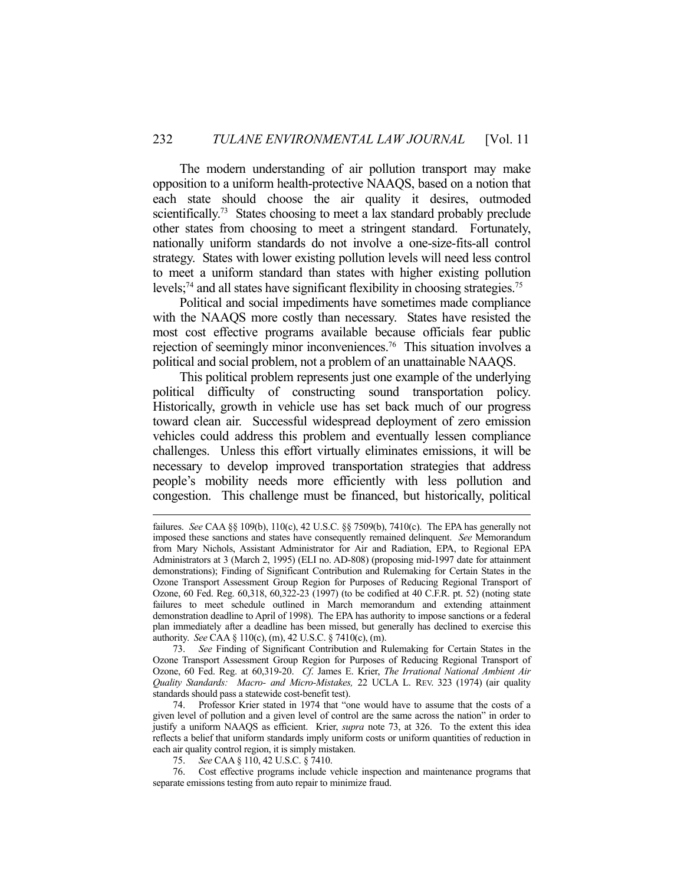The modern understanding of air pollution transport may make opposition to a uniform health-protective NAAQS, based on a notion that each state should choose the air quality it desires, outmoded scientifically.<sup>73</sup> States choosing to meet a lax standard probably preclude other states from choosing to meet a stringent standard. Fortunately, nationally uniform standards do not involve a one-size-fits-all control strategy. States with lower existing pollution levels will need less control to meet a uniform standard than states with higher existing pollution levels;<sup>74</sup> and all states have significant flexibility in choosing strategies.<sup>75</sup>

 Political and social impediments have sometimes made compliance with the NAAQS more costly than necessary. States have resisted the most cost effective programs available because officials fear public rejection of seemingly minor inconveniences.76 This situation involves a political and social problem, not a problem of an unattainable NAAQS.

 This political problem represents just one example of the underlying political difficulty of constructing sound transportation policy. Historically, growth in vehicle use has set back much of our progress toward clean air. Successful widespread deployment of zero emission vehicles could address this problem and eventually lessen compliance challenges. Unless this effort virtually eliminates emissions, it will be necessary to develop improved transportation strategies that address people's mobility needs more efficiently with less pollution and congestion. This challenge must be financed, but historically, political

 73. *See* Finding of Significant Contribution and Rulemaking for Certain States in the Ozone Transport Assessment Group Region for Purposes of Reducing Regional Transport of Ozone, 60 Fed. Reg. at 60,319-20. *Cf*. James E. Krier, *The Irrational National Ambient Air Quality Standards: Macro- and Micro-Mistakes,* 22 UCLA L. REV. 323 (1974) (air quality standards should pass a statewide cost-benefit test).

 74. Professor Krier stated in 1974 that "one would have to assume that the costs of a given level of pollution and a given level of control are the same across the nation" in order to justify a uniform NAAQS as efficient. Krier, *supra* note 73, at 326. To the extent this idea reflects a belief that uniform standards imply uniform costs or uniform quantities of reduction in each air quality control region, it is simply mistaken.

75. *See* CAA § 110, 42 U.S.C. § 7410.

 76. Cost effective programs include vehicle inspection and maintenance programs that separate emissions testing from auto repair to minimize fraud.

failures. *See* CAA §§ 109(b), 110(c), 42 U.S.C. §§ 7509(b), 7410(c). The EPA has generally not imposed these sanctions and states have consequently remained delinquent. *See* Memorandum from Mary Nichols, Assistant Administrator for Air and Radiation, EPA, to Regional EPA Administrators at 3 (March 2, 1995) (ELI no. AD-808) (proposing mid-1997 date for attainment demonstrations); Finding of Significant Contribution and Rulemaking for Certain States in the Ozone Transport Assessment Group Region for Purposes of Reducing Regional Transport of Ozone, 60 Fed. Reg. 60,318, 60,322-23 (1997) (to be codified at 40 C.F.R. pt. 52) (noting state failures to meet schedule outlined in March memorandum and extending attainment demonstration deadline to April of 1998). The EPA has authority to impose sanctions or a federal plan immediately after a deadline has been missed, but generally has declined to exercise this authority. *See* CAA § 110(c), (m), 42 U.S.C. § 7410(c), (m).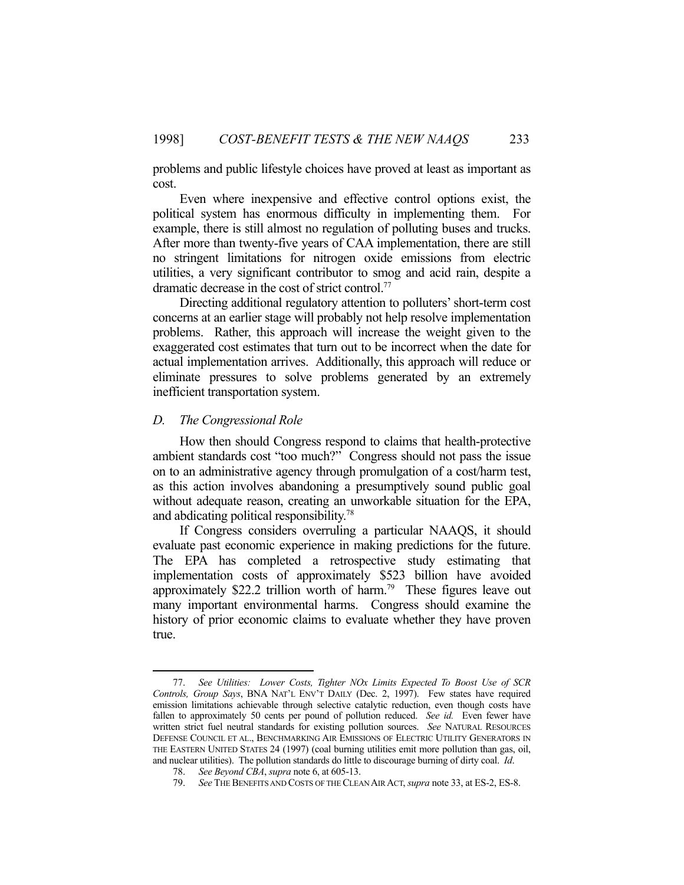problems and public lifestyle choices have proved at least as important as cost.

 Even where inexpensive and effective control options exist, the political system has enormous difficulty in implementing them. For example, there is still almost no regulation of polluting buses and trucks. After more than twenty-five years of CAA implementation, there are still no stringent limitations for nitrogen oxide emissions from electric utilities, a very significant contributor to smog and acid rain, despite a dramatic decrease in the cost of strict control.77

 Directing additional regulatory attention to polluters' short-term cost concerns at an earlier stage will probably not help resolve implementation problems. Rather, this approach will increase the weight given to the exaggerated cost estimates that turn out to be incorrect when the date for actual implementation arrives. Additionally, this approach will reduce or eliminate pressures to solve problems generated by an extremely inefficient transportation system.

## *D. The Congressional Role*

1

 How then should Congress respond to claims that health-protective ambient standards cost "too much?" Congress should not pass the issue on to an administrative agency through promulgation of a cost/harm test, as this action involves abandoning a presumptively sound public goal without adequate reason, creating an unworkable situation for the EPA, and abdicating political responsibility.78

 If Congress considers overruling a particular NAAQS, it should evaluate past economic experience in making predictions for the future. The EPA has completed a retrospective study estimating that implementation costs of approximately \$523 billion have avoided approximately \$22.2 trillion worth of harm.79 These figures leave out many important environmental harms. Congress should examine the history of prior economic claims to evaluate whether they have proven true.

 <sup>77.</sup> *See Utilities: Lower Costs, Tighter NOx Limits Expected To Boost Use of SCR Controls, Group Says*, BNA NAT'L ENV'T DAILY (Dec. 2, 1997). Few states have required emission limitations achievable through selective catalytic reduction, even though costs have fallen to approximately 50 cents per pound of pollution reduced. *See id.* Even fewer have written strict fuel neutral standards for existing pollution sources. *See* NATURAL RESOURCES DEFENSE COUNCIL ET AL., BENCHMARKING AIR EMISSIONS OF ELECTRIC UTILITY GENERATORS IN THE EASTERN UNITED STATES 24 (1997) (coal burning utilities emit more pollution than gas, oil, and nuclear utilities). The pollution standards do little to discourage burning of dirty coal. *Id*.

 <sup>78.</sup> *See Beyond CBA*, *supra* note 6, at 605-13.

 <sup>79.</sup> *See* THE BENEFITS AND COSTS OF THE CLEAN AIR ACT, *supra* note 33, at ES-2, ES-8.